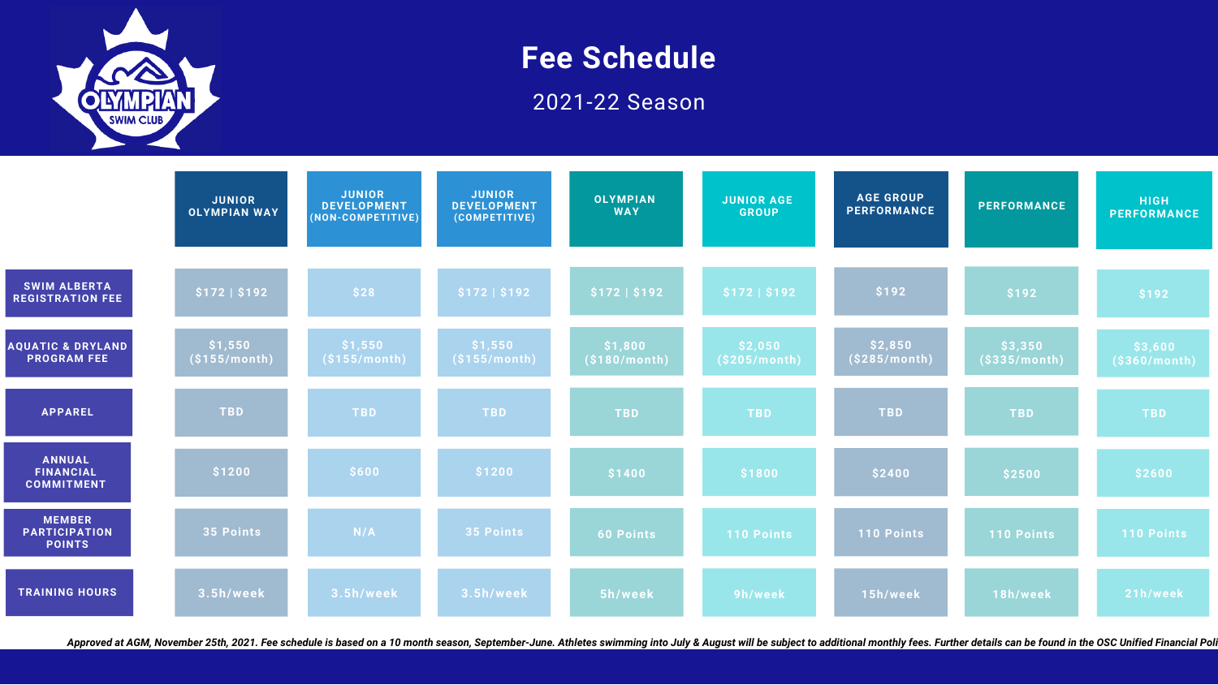

# **Fee Schedule** 2021-22 Season

|                                                        | <b>JUNIOR</b><br><b>OLYMPIAN WAY</b> | <b>JUNIOR</b><br><b>DEVELOPMENT</b><br>(NON-COMPETITIVE) | <b>JUNIOR</b><br><b>DEVELOPMENT</b><br>(COMPETITIVE) | <b>OLYMPIAN</b><br><b>WAY</b> | <b>JUNIOR AGE</b><br><b>GROUP</b> | <b>AGE GROUP</b><br><b>PERFORMANCE</b> | <b>PERFORMANCE</b>      | <b>HIGH</b><br><b>PERFORMANCE</b> |
|--------------------------------------------------------|--------------------------------------|----------------------------------------------------------|------------------------------------------------------|-------------------------------|-----------------------------------|----------------------------------------|-------------------------|-----------------------------------|
| <b>SWIM ALBERTA</b><br><b>REGISTRATION FEE</b>         | \$172   \$192                        | \$28                                                     | \$172   \$192                                        | \$172   \$192                 | \$172   \$192                     | \$192                                  | \$192                   | \$192                             |
| <b>AQUATIC &amp; DRYLAND</b><br><b>PROGRAM FEE</b>     | \$1,550<br>$($ \$155/month)          | \$1,550<br>(S155/month)                                  | \$1,550<br>(S155/month)                              | \$1,800<br>(S180/month)       | \$2,050<br>(S205/month)           | \$2,850<br>(S285/month)                | \$3,350<br>(S335/month) | \$3,600<br>(S360/month)           |
| <b>APPAREL</b>                                         | <b>TBD</b>                           | <b>TBD</b>                                               | <b>TBD</b>                                           | <b>TBD</b>                    | <b>TBD</b>                        | <b>TBD</b>                             | <b>TBD</b>              | <b>TBD</b>                        |
| ANNUAL<br><b>FINANCIAL</b><br><b>COMMITMENT</b>        | \$1200                               | \$600                                                    | \$1200                                               | \$1400                        | \$1800                            | \$2400                                 | \$2500                  | \$2600                            |
| <b>MEMBER</b><br><b>PARTICIPATION</b><br><b>POINTS</b> | 35 Points                            | N/A                                                      | 35 Points                                            | <b>60 Points</b>              | <b>110 Points</b>                 | 110 Points                             | <b>110 Points</b>       | <b>110 Points</b>                 |
| <b>TRAINING HOURS</b>                                  | 3.5h/week                            | 3.5h/week                                                | 3.5h/week                                            | 5h/week                       | 9h/week                           | 15h/week                               | 18h/week                | 21h/week                          |

Approved at AGM, November 25th, 2021. Fee schedule is based on a 10 month season, September-June. Athletes swimming into July & August will be subject to additional monthly fees. Further details can be found in the OSC Uni